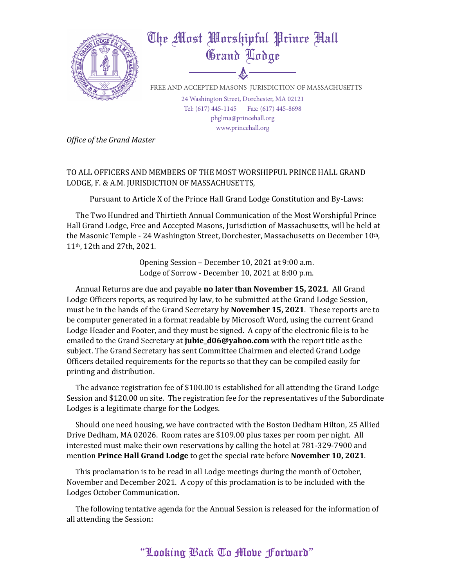

**Office of the Grand Master** 

TO ALL OFFICERS AND MEMBERS OF THE MOST WORSHIPFUL PRINCE HALL GRAND LODGE, F. & A.M. JURISDICTION OF MASSACHUSETTS,

Pursuant to Article X of the Prince Hall Grand Lodge Constitution and By-Laws:

The Two Hundred and Thirtieth Annual Communication of the Most Worshipful Prince Hall Grand Lodge, Free and Accepted Masons, Jurisdiction of Massachusetts, will be held at the Masonic Temple - 24 Washington Street, Dorchester, Massachusetts on December 10<sup>th</sup>, 11<sup>th</sup>, 12th and 27th, 2021.

> Opening Session – December 10, 2021 at 9:00 a.m. Lodge of Sorrow - December 10, 2021 at 8:00 p.m.

Annual Returns are due and payable **no later than November 15, 2021**. All Grand Lodge Officers reports, as required by law, to be submitted at the Grand Lodge Session, must be in the hands of the Grand Secretary by **November 15, 2021**. These reports are to be computer generated in a format readable by Microsoft Word, using the current Grand Lodge Header and Footer, and they must be signed. A copy of the electronic file is to be emailed to the Grand Secretary at **jubie\_d06@yahoo.com** with the report title as the subject. The Grand Secretary has sent Committee Chairmen and elected Grand Lodge Officers detailed requirements for the reports so that they can be compiled easily for printing and distribution.

The advance registration fee of  $$100.00$  is established for all attending the Grand Lodge Session and \$120.00 on site. The registration fee for the representatives of the Subordinate Lodges is a legitimate charge for the Lodges.

Should one need housing, we have contracted with the Boston Dedham Hilton, 25 Allied Drive Dedham, MA 02026. Room rates are \$109.00 plus taxes per room per night. All interested must make their own reservations by calling the hotel at 781-329-7900 and mention **Prince Hall Grand Lodge** to get the special rate before **November 10, 2021**.

This proclamation is to be read in all Lodge meetings during the month of October, November and December 2021. A copy of this proclamation is to be included with the Lodges October Communication.

The following tentative agenda for the Annual Session is released for the information of all attending the Session: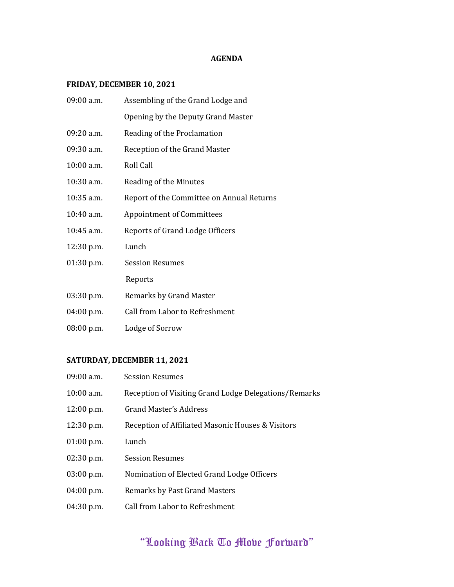## **AGENDA**

# **FRIDAY, DECEMBER 10, 2021**

| 09:00 a.m.   | Assembling of the Grand Lodge and         |
|--------------|-------------------------------------------|
|              | Opening by the Deputy Grand Master        |
| $09:20$ a.m. | Reading of the Proclamation               |
| $09:30$ a.m. | Reception of the Grand Master             |
| $10:00$ a.m. | Roll Call                                 |
| $10:30$ a.m. | Reading of the Minutes                    |
| $10:35$ a.m. | Report of the Committee on Annual Returns |
| 10:40 a.m.   | <b>Appointment of Committees</b>          |
| $10:45$ a.m. | Reports of Grand Lodge Officers           |
| 12:30 p.m.   | Lunch                                     |
| $01:30$ p.m. | <b>Session Resumes</b>                    |
|              | Reports                                   |
| 03:30 p.m.   | Remarks by Grand Master                   |
| 04:00 p.m.   | Call from Labor to Refreshment            |
| 08:00 p.m.   | Lodge of Sorrow                           |

# SATURDAY, DECEMBER 11, 2021

| 09:00 a.m.   | <b>Session Resumes</b>                                |
|--------------|-------------------------------------------------------|
| 10:00 a.m.   | Reception of Visiting Grand Lodge Delegations/Remarks |
| $12:00$ p.m. | Grand Master's Address                                |
| 12:30 p.m.   | Reception of Affiliated Masonic Houses & Visitors     |
| 01:00 p.m.   | Lunch                                                 |
| $02:30$ p.m. | <b>Session Resumes</b>                                |
| 03:00 p.m.   | Nomination of Elected Grand Lodge Officers            |
| 04:00 p.m.   | <b>Remarks by Past Grand Masters</b>                  |
| 04:30 p.m.   | Call from Labor to Refreshment                        |

# "Looking Back To Move Forward"